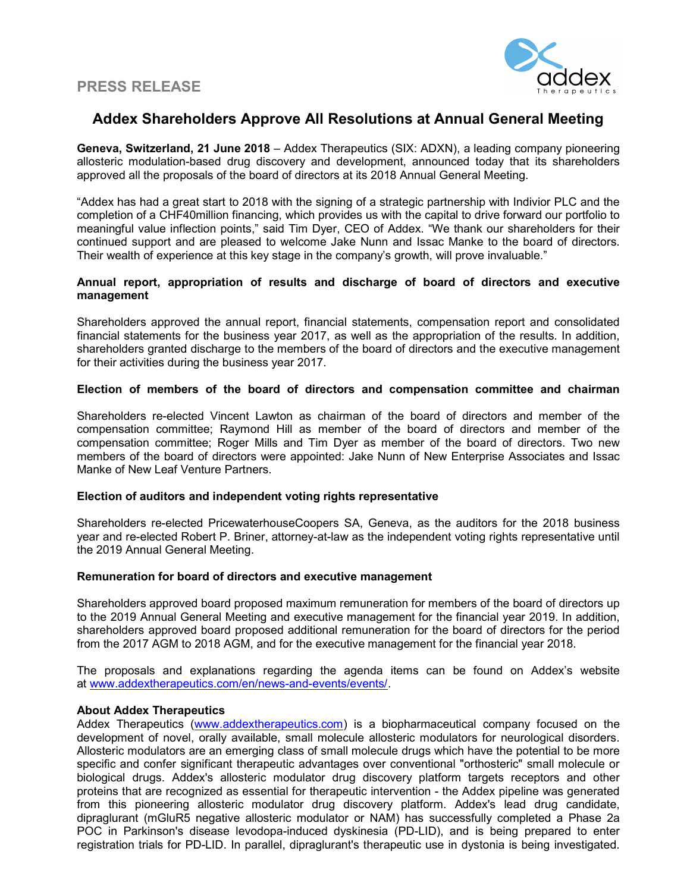PRESS RELEASE



# Addex Shareholders Approve All Resolutions at Annual General Meeting

Geneva, Switzerland, 21 June 2018 – Addex Therapeutics (SIX: ADXN), a leading company pioneering allosteric modulation-based drug discovery and development, announced today that its shareholders approved all the proposals of the board of directors at its 2018 Annual General Meeting.

"Addex has had a great start to 2018 with the signing of a strategic partnership with Indivior PLC and the completion of a CHF40million financing, which provides us with the capital to drive forward our portfolio to meaningful value inflection points," said Tim Dyer, CEO of Addex. "We thank our shareholders for their continued support and are pleased to welcome Jake Nunn and Issac Manke to the board of directors. Their wealth of experience at this key stage in the company's growth, will prove invaluable."

## Annual report, appropriation of results and discharge of board of directors and executive management

Shareholders approved the annual report, financial statements, compensation report and consolidated financial statements for the business year 2017, as well as the appropriation of the results. In addition, shareholders granted discharge to the members of the board of directors and the executive management for their activities during the business year 2017.

## Election of members of the board of directors and compensation committee and chairman

Shareholders re-elected Vincent Lawton as chairman of the board of directors and member of the compensation committee; Raymond Hill as member of the board of directors and member of the compensation committee; Roger Mills and Tim Dyer as member of the board of directors. Two new members of the board of directors were appointed: Jake Nunn of New Enterprise Associates and Issac Manke of New Leaf Venture Partners.

## Election of auditors and independent voting rights representative

Shareholders re-elected PricewaterhouseCoopers SA, Geneva, as the auditors for the 2018 business year and re-elected Robert P. Briner, attorney-at-law as the independent voting rights representative until the 2019 Annual General Meeting.

## Remuneration for board of directors and executive management

Shareholders approved board proposed maximum remuneration for members of the board of directors up to the 2019 Annual General Meeting and executive management for the financial year 2019. In addition, shareholders approved board proposed additional remuneration for the board of directors for the period from the 2017 AGM to 2018 AGM, and for the executive management for the financial year 2018.

The proposals and explanations regarding the agenda items can be found on Addex's website at www.addextherapeutics.com/en/news-and-events/events/.

#### About Addex Therapeutics

Addex Therapeutics (www.addextherapeutics.com) is a biopharmaceutical company focused on the development of novel, orally available, small molecule allosteric modulators for neurological disorders. Allosteric modulators are an emerging class of small molecule drugs which have the potential to be more specific and confer significant therapeutic advantages over conventional "orthosteric" small molecule or biological drugs. Addex's allosteric modulator drug discovery platform targets receptors and other proteins that are recognized as essential for therapeutic intervention - the Addex pipeline was generated from this pioneering allosteric modulator drug discovery platform. Addex's lead drug candidate, dipraglurant (mGluR5 negative allosteric modulator or NAM) has successfully completed a Phase 2a POC in Parkinson's disease levodopa-induced dyskinesia (PD-LID), and is being prepared to enter registration trials for PD-LID. In parallel, dipraglurant's therapeutic use in dystonia is being investigated.